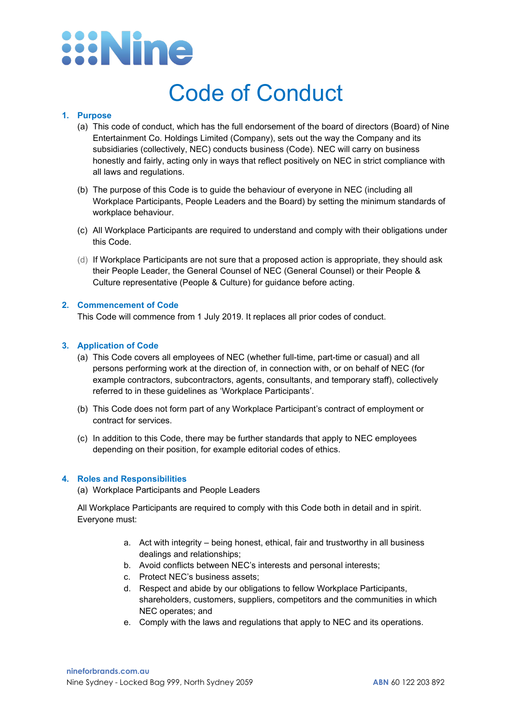# **ENine**

### Code of Conduct

#### **1. Purpose**

- (a) This code of conduct, which has the full endorsement of the board of directors (Board) of Nine Entertainment Co. Holdings Limited (Company), sets out the way the Company and its subsidiaries (collectively, NEC) conducts business (Code). NEC will carry on business honestly and fairly, acting only in ways that reflect positively on NEC in strict compliance with all laws and regulations.
- (b) The purpose of this Code is to guide the behaviour of everyone in NEC (including all Workplace Participants, People Leaders and the Board) by setting the minimum standards of workplace behaviour.
- (c) All Workplace Participants are required to understand and comply with their obligations under this Code.
- (d) If Workplace Participants are not sure that a proposed action is appropriate, they should ask their People Leader, the General Counsel of NEC (General Counsel) or their People & Culture representative (People & Culture) for guidance before acting.

#### **2. Commencement of Code**

This Code will commence from 1 July 2019. It replaces all prior codes of conduct.

#### **3. Application of Code**

- (a) This Code covers all employees of NEC (whether full-time, part-time or casual) and all persons performing work at the direction of, in connection with, or on behalf of NEC (for example contractors, subcontractors, agents, consultants, and temporary staff), collectively referred to in these guidelines as 'Workplace Participants'.
- (b) This Code does not form part of any Workplace Participant's contract of employment or contract for services.
- (c) In addition to this Code, there may be further standards that apply to NEC employees depending on their position, for example editorial codes of ethics.

#### **4. Roles and Responsibilities**

(a) Workplace Participants and People Leaders

All Workplace Participants are required to comply with this Code both in detail and in spirit. Everyone must:

- a. Act with integrity being honest, ethical, fair and trustworthy in all business dealings and relationships;
- b. Avoid conflicts between NEC's interests and personal interests;
- c. Protect NEC's business assets;
- d. Respect and abide by our obligations to fellow Workplace Participants, shareholders, customers, suppliers, competitors and the communities in which NEC operates; and
- e. Comply with the laws and regulations that apply to NEC and its operations.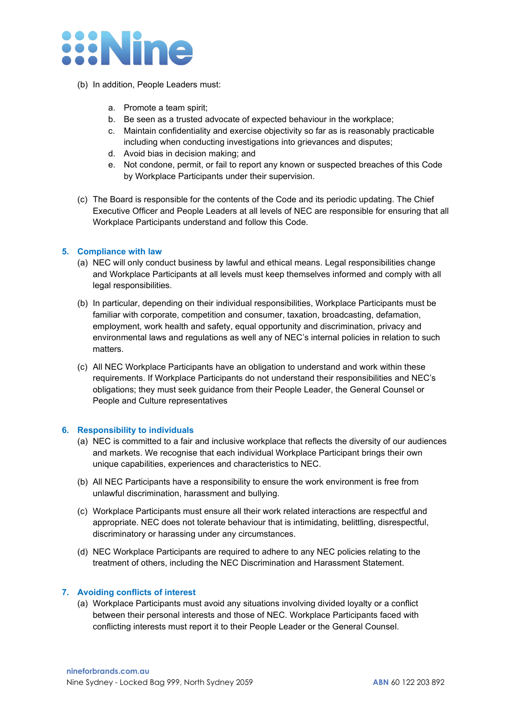

- (b) In addition, People Leaders must:
	- a. Promote a team spirit;
	- b. Be seen as a trusted advocate of expected behaviour in the workplace;
	- c. Maintain confidentiality and exercise objectivity so far as is reasonably practicable including when conducting investigations into grievances and disputes;
	- d. Avoid bias in decision making; and
	- e. Not condone, permit, or fail to report any known or suspected breaches of this Code by Workplace Participants under their supervision.
- (c) The Board is responsible for the contents of the Code and its periodic updating. The Chief Executive Officer and People Leaders at all levels of NEC are responsible for ensuring that all Workplace Participants understand and follow this Code.

#### **5. Compliance with law**

- (a) NEC will only conduct business by lawful and ethical means. Legal responsibilities change and Workplace Participants at all levels must keep themselves informed and comply with all legal responsibilities.
- (b) In particular, depending on their individual responsibilities, Workplace Participants must be familiar with corporate, competition and consumer, taxation, broadcasting, defamation, employment, work health and safety, equal opportunity and discrimination, privacy and environmental laws and regulations as well any of NEC's internal policies in relation to such matters.
- (c) All NEC Workplace Participants have an obligation to understand and work within these requirements. If Workplace Participants do not understand their responsibilities and NEC's obligations; they must seek guidance from their People Leader, the General Counsel or People and Culture representatives

#### **6. Responsibility to individuals**

- (a) NEC is committed to a fair and inclusive workplace that reflects the diversity of our audiences and markets. We recognise that each individual Workplace Participant brings their own unique capabilities, experiences and characteristics to NEC.
- (b) All NEC Participants have a responsibility to ensure the work environment is free from unlawful discrimination, harassment and bullying.
- (c) Workplace Participants must ensure all their work related interactions are respectful and appropriate. NEC does not tolerate behaviour that is intimidating, belittling, disrespectful, discriminatory or harassing under any circumstances.
- (d) NEC Workplace Participants are required to adhere to any NEC policies relating to the treatment of others, including the NEC Discrimination and Harassment Statement.

#### **7. Avoiding conflicts of interest**

(a) Workplace Participants must avoid any situations involving divided loyalty or a conflict between their personal interests and those of NEC. Workplace Participants faced with conflicting interests must report it to their People Leader or the General Counsel.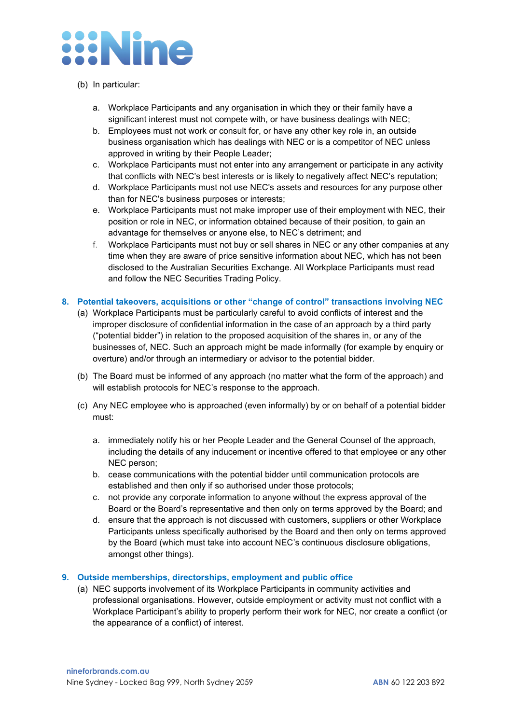### **Xine**

#### (b) In particular:

- a. Workplace Participants and any organisation in which they or their family have a significant interest must not compete with, or have business dealings with NEC;
- b. Employees must not work or consult for, or have any other key role in, an outside business organisation which has dealings with NEC or is a competitor of NEC unless approved in writing by their People Leader;
- c. Workplace Participants must not enter into any arrangement or participate in any activity that conflicts with NEC's best interests or is likely to negatively affect NEC's reputation;
- d. Workplace Participants must not use NEC's assets and resources for any purpose other than for NEC's business purposes or interests;
- e. Workplace Participants must not make improper use of their employment with NEC, their position or role in NEC, or information obtained because of their position, to gain an advantage for themselves or anyone else, to NEC's detriment; and
- f. Workplace Participants must not buy or sell shares in NEC or any other companies at any time when they are aware of price sensitive information about NEC, which has not been disclosed to the Australian Securities Exchange. All Workplace Participants must read and follow the NEC Securities Trading Policy.

#### **8. Potential takeovers, acquisitions or other "change of control" transactions involving NEC**

- (a) Workplace Participants must be particularly careful to avoid conflicts of interest and the improper disclosure of confidential information in the case of an approach by a third party ("potential bidder") in relation to the proposed acquisition of the shares in, or any of the businesses of, NEC. Such an approach might be made informally (for example by enquiry or overture) and/or through an intermediary or advisor to the potential bidder.
- (b) The Board must be informed of any approach (no matter what the form of the approach) and will establish protocols for NEC's response to the approach.
- (c) Any NEC employee who is approached (even informally) by or on behalf of a potential bidder must:
	- a. immediately notify his or her People Leader and the General Counsel of the approach, including the details of any inducement or incentive offered to that employee or any other NEC person;
	- b. cease communications with the potential bidder until communication protocols are established and then only if so authorised under those protocols;
	- c. not provide any corporate information to anyone without the express approval of the Board or the Board's representative and then only on terms approved by the Board; and
	- d. ensure that the approach is not discussed with customers, suppliers or other Workplace Participants unless specifically authorised by the Board and then only on terms approved by the Board (which must take into account NEC's continuous disclosure obligations, amongst other things).

#### **9. Outside memberships, directorships, employment and public office**

(a) NEC supports involvement of its Workplace Participants in community activities and professional organisations. However, outside employment or activity must not conflict with a Workplace Participant's ability to properly perform their work for NEC, nor create a conflict (or the appearance of a conflict) of interest.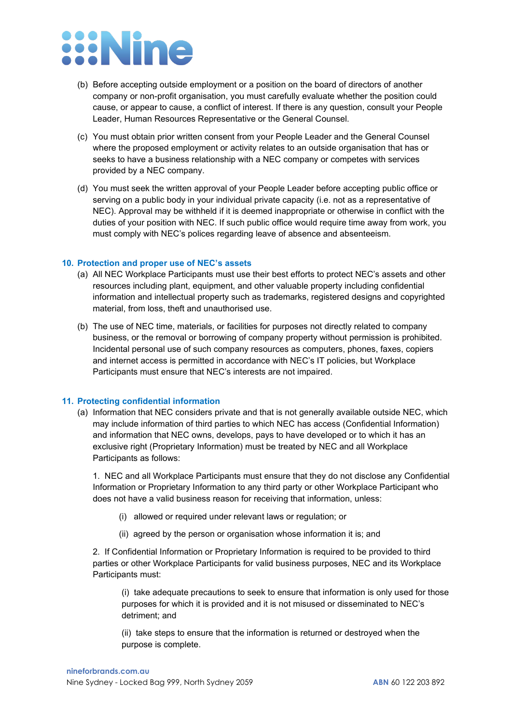## **ENine**

- (b) Before accepting outside employment or a position on the board of directors of another company or non-profit organisation, you must carefully evaluate whether the position could cause, or appear to cause, a conflict of interest. If there is any question, consult your People Leader, Human Resources Representative or the General Counsel.
- (c) You must obtain prior written consent from your People Leader and the General Counsel where the proposed employment or activity relates to an outside organisation that has or seeks to have a business relationship with a NEC company or competes with services provided by a NEC company.
- (d) You must seek the written approval of your People Leader before accepting public office or serving on a public body in your individual private capacity (i.e. not as a representative of NEC). Approval may be withheld if it is deemed inappropriate or otherwise in conflict with the duties of your position with NEC. If such public office would require time away from work, you must comply with NEC's polices regarding leave of absence and absenteeism.

#### **10. Protection and proper use of NEC's assets**

- (a) All NEC Workplace Participants must use their best efforts to protect NEC's assets and other resources including plant, equipment, and other valuable property including confidential information and intellectual property such as trademarks, registered designs and copyrighted material, from loss, theft and unauthorised use.
- (b) The use of NEC time, materials, or facilities for purposes not directly related to company business, or the removal or borrowing of company property without permission is prohibited. Incidental personal use of such company resources as computers, phones, faxes, copiers and internet access is permitted in accordance with NEC's IT policies, but Workplace Participants must ensure that NEC's interests are not impaired.

#### **11. Protecting confidential information**

(a) Information that NEC considers private and that is not generally available outside NEC, which may include information of third parties to which NEC has access (Confidential Information) and information that NEC owns, develops, pays to have developed or to which it has an exclusive right (Proprietary Information) must be treated by NEC and all Workplace Participants as follows:

1. NEC and all Workplace Participants must ensure that they do not disclose any Confidential Information or Proprietary Information to any third party or other Workplace Participant who does not have a valid business reason for receiving that information, unless:

- (i) allowed or required under relevant laws or regulation; or
- (ii) agreed by the person or organisation whose information it is; and

2. If Confidential Information or Proprietary Information is required to be provided to third parties or other Workplace Participants for valid business purposes, NEC and its Workplace Participants must:

(i) take adequate precautions to seek to ensure that information is only used for those purposes for which it is provided and it is not misused or disseminated to NEC's detriment; and

(ii) take steps to ensure that the information is returned or destroyed when the purpose is complete.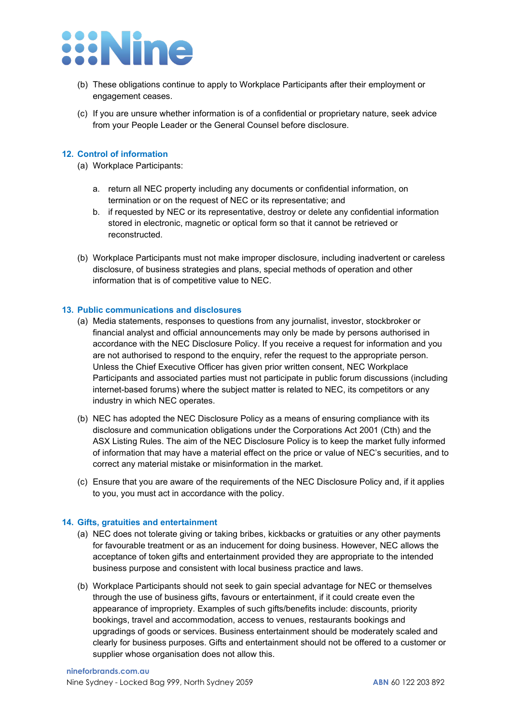

- (b) These obligations continue to apply to Workplace Participants after their employment or engagement ceases.
- (c) If you are unsure whether information is of a confidential or proprietary nature, seek advice from your People Leader or the General Counsel before disclosure.

#### **12. Control of information**

- (a) Workplace Participants:
	- a. return all NEC property including any documents or confidential information, on termination or on the request of NEC or its representative; and
	- b. if requested by NEC or its representative, destroy or delete any confidential information stored in electronic, magnetic or optical form so that it cannot be retrieved or reconstructed.
- (b) Workplace Participants must not make improper disclosure, including inadvertent or careless disclosure, of business strategies and plans, special methods of operation and other information that is of competitive value to NEC.

#### **13. Public communications and disclosures**

- (a) Media statements, responses to questions from any journalist, investor, stockbroker or financial analyst and official announcements may only be made by persons authorised in accordance with the NEC Disclosure Policy. If you receive a request for information and you are not authorised to respond to the enquiry, refer the request to the appropriate person. Unless the Chief Executive Officer has given prior written consent, NEC Workplace Participants and associated parties must not participate in public forum discussions (including internet-based forums) where the subject matter is related to NEC, its competitors or any industry in which NEC operates.
- (b) NEC has adopted the NEC Disclosure Policy as a means of ensuring compliance with its disclosure and communication obligations under the Corporations Act 2001 (Cth) and the ASX Listing Rules. The aim of the NEC Disclosure Policy is to keep the market fully informed of information that may have a material effect on the price or value of NEC's securities, and to correct any material mistake or misinformation in the market.
- (c) Ensure that you are aware of the requirements of the NEC Disclosure Policy and, if it applies to you, you must act in accordance with the policy.

#### **14. Gifts, gratuities and entertainment**

- (a) NEC does not tolerate giving or taking bribes, kickbacks or gratuities or any other payments for favourable treatment or as an inducement for doing business. However, NEC allows the acceptance of token gifts and entertainment provided they are appropriate to the intended business purpose and consistent with local business practice and laws.
- (b) Workplace Participants should not seek to gain special advantage for NEC or themselves through the use of business gifts, favours or entertainment, if it could create even the appearance of impropriety. Examples of such gifts/benefits include: discounts, priority bookings, travel and accommodation, access to venues, restaurants bookings and upgradings of goods or services. Business entertainment should be moderately scaled and clearly for business purposes. Gifts and entertainment should not be offered to a customer or supplier whose organisation does not allow this.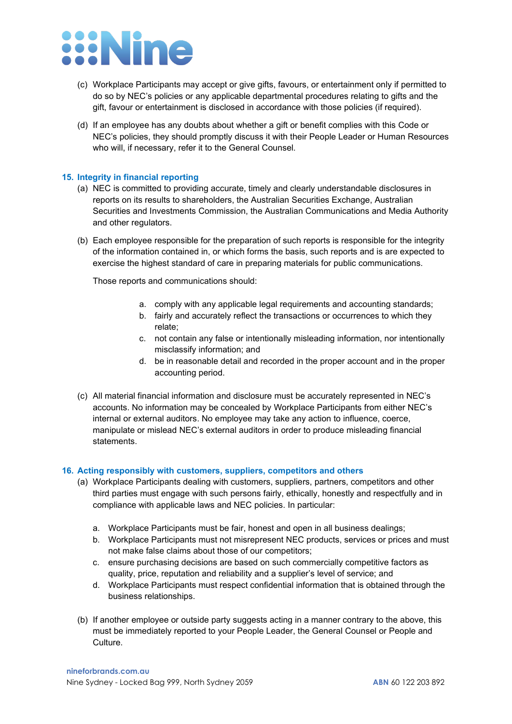### **:Nine**

- (c) Workplace Participants may accept or give gifts, favours, or entertainment only if permitted to do so by NEC's policies or any applicable departmental procedures relating to gifts and the gift, favour or entertainment is disclosed in accordance with those policies (if required).
- (d) If an employee has any doubts about whether a gift or benefit complies with this Code or NEC's policies, they should promptly discuss it with their People Leader or Human Resources who will, if necessary, refer it to the General Counsel.

#### **15. Integrity in financial reporting**

- (a) NEC is committed to providing accurate, timely and clearly understandable disclosures in reports on its results to shareholders, the Australian Securities Exchange, Australian Securities and Investments Commission, the Australian Communications and Media Authority and other regulators.
- (b) Each employee responsible for the preparation of such reports is responsible for the integrity of the information contained in, or which forms the basis, such reports and is are expected to exercise the highest standard of care in preparing materials for public communications.

Those reports and communications should:

- a. comply with any applicable legal requirements and accounting standards;
- b. fairly and accurately reflect the transactions or occurrences to which they relate;
- c. not contain any false or intentionally misleading information, nor intentionally misclassify information; and
- d. be in reasonable detail and recorded in the proper account and in the proper accounting period.
- (c) All material financial information and disclosure must be accurately represented in NEC's accounts. No information may be concealed by Workplace Participants from either NEC's internal or external auditors. No employee may take any action to influence, coerce, manipulate or mislead NEC's external auditors in order to produce misleading financial statements.

#### **16. Acting responsibly with customers, suppliers, competitors and others**

- (a) Workplace Participants dealing with customers, suppliers, partners, competitors and other third parties must engage with such persons fairly, ethically, honestly and respectfully and in compliance with applicable laws and NEC policies. In particular:
	- a. Workplace Participants must be fair, honest and open in all business dealings;
	- b. Workplace Participants must not misrepresent NEC products, services or prices and must not make false claims about those of our competitors;
	- c. ensure purchasing decisions are based on such commercially competitive factors as quality, price, reputation and reliability and a supplier's level of service; and
	- d. Workplace Participants must respect confidential information that is obtained through the business relationships.
- (b) If another employee or outside party suggests acting in a manner contrary to the above, this must be immediately reported to your People Leader, the General Counsel or People and Culture.